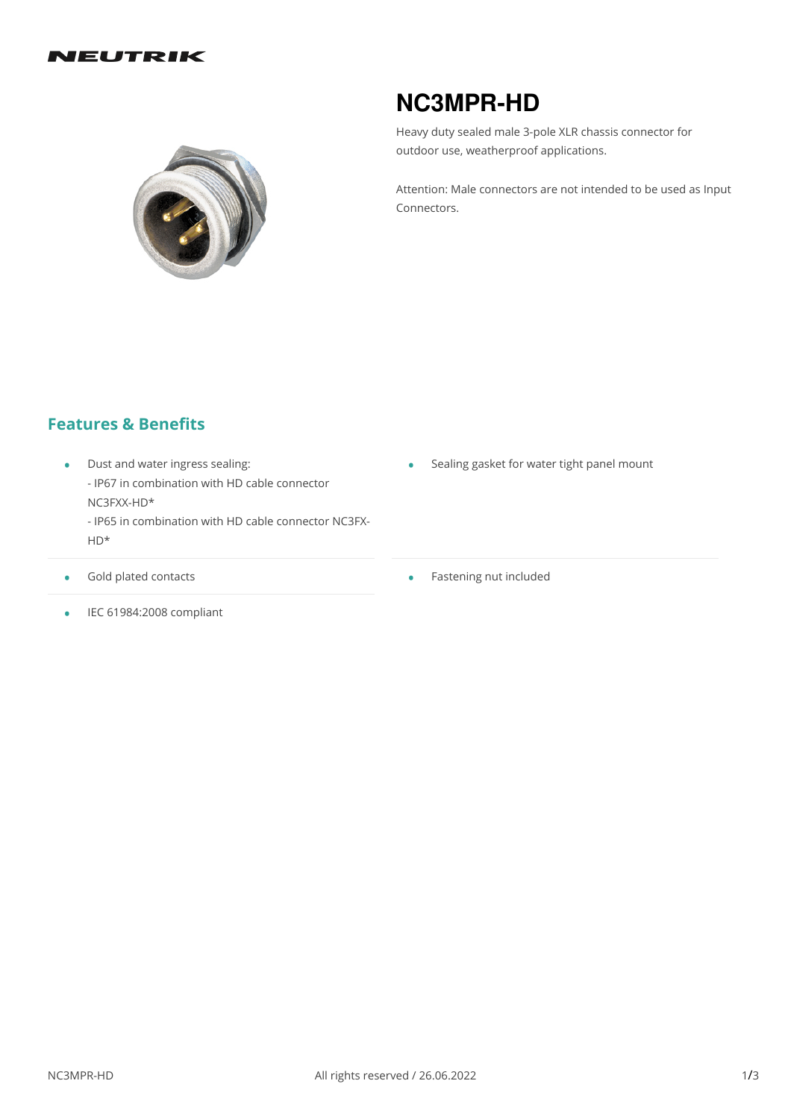#### NEUTRIK



# **NC3MPR-HD**

Heavy duty sealed male 3-pole XLR chassis connector for outdoor use, weatherproof applications.

Attention: Male connectors are not intended to be used as Input Connectors.

## **Features & Benefits**

- Dust and water ingress sealing: - IP67 in combination with HD cable connector NC3FXX-HD\*
	- IP65 in combination with HD cable connector NC3FX- HD\*
- Gold plated contacts •
- Sealing gasket for water tight panel mount
- Fastening nut included

 $\bullet$  IEC 61984:2008 compliant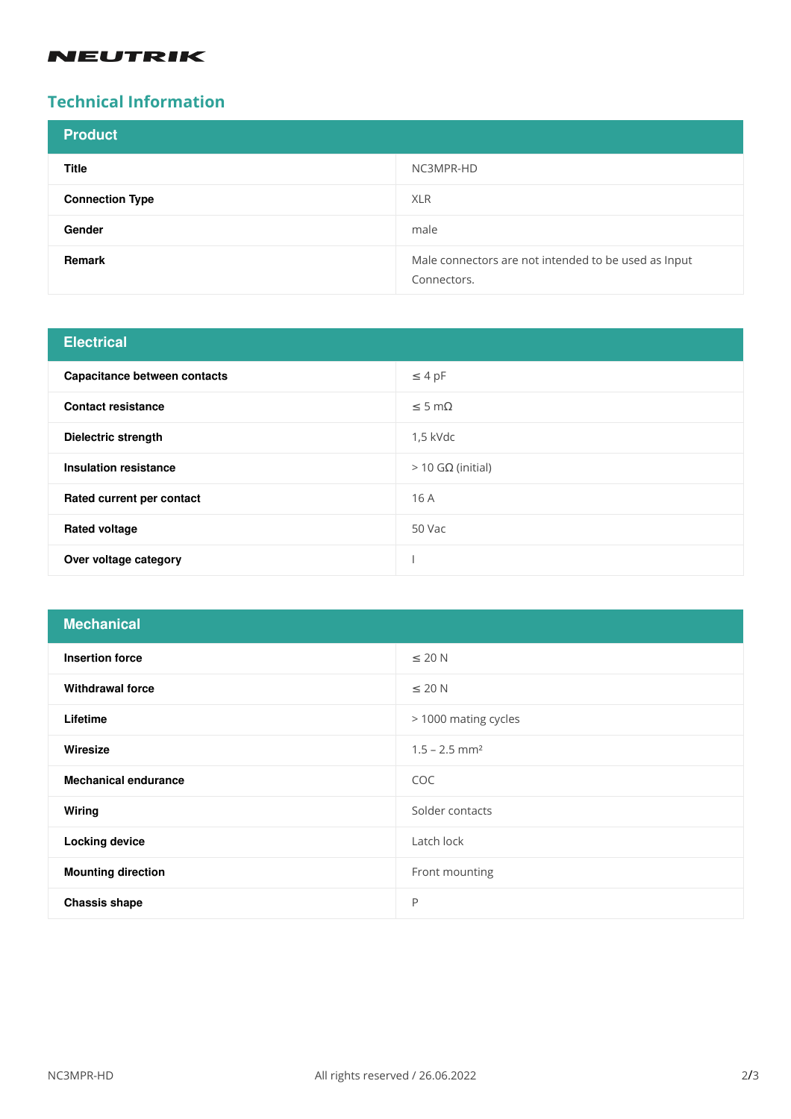#### **NEUTRIK**

# **Technical Information**

| <b>Product</b>         |                                                                     |
|------------------------|---------------------------------------------------------------------|
| <b>Title</b>           | NC3MPR-HD                                                           |
| <b>Connection Type</b> | <b>XLR</b>                                                          |
| Gender                 | male                                                                |
| Remark                 | Male connectors are not intended to be used as Input<br>Connectors. |

| <b>Electrical</b>            |                     |
|------------------------------|---------------------|
| Capacitance between contacts | $\leq 4$ pF         |
| <b>Contact resistance</b>    | $\leq$ 5 m $\Omega$ |
| Dielectric strength          | $1.5$ kVdc          |
| Insulation resistance        | $>$ 10 GΩ (initial) |
| Rated current per contact    | 16 A                |
| <b>Rated voltage</b>         | 50 Vac              |
| Over voltage category        |                     |

| <b>Mechanical</b>           |                             |
|-----------------------------|-----------------------------|
| <b>Insertion force</b>      | $\leq$ 20 N                 |
| <b>Withdrawal force</b>     | $\leq$ 20 N                 |
| Lifetime                    | > 1000 mating cycles        |
| Wiresize                    | $1.5 - 2.5$ mm <sup>2</sup> |
| <b>Mechanical endurance</b> | COC                         |
| Wiring                      | Solder contacts             |
| <b>Locking device</b>       | Latch lock                  |
| <b>Mounting direction</b>   | Front mounting              |
| <b>Chassis shape</b>        | P                           |